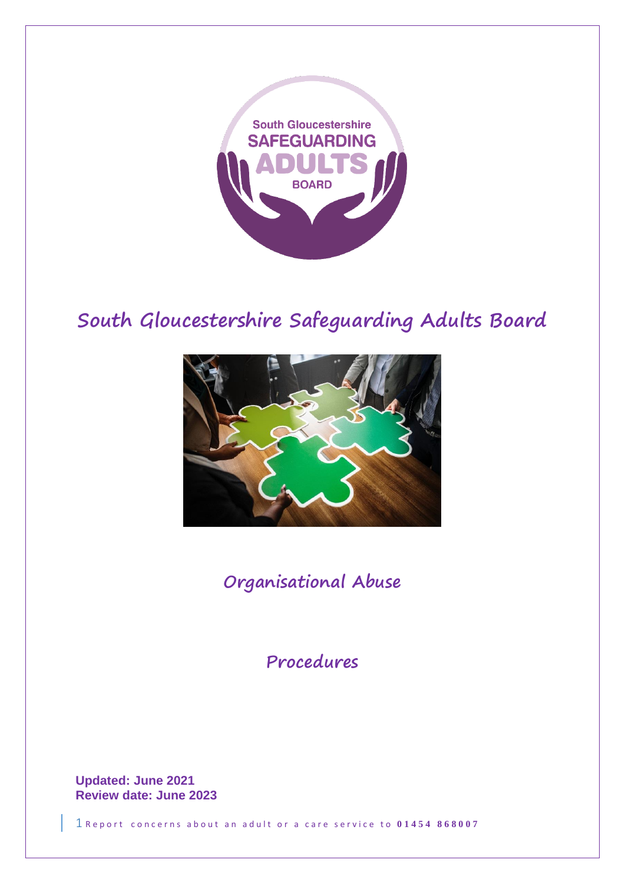

# **South Gloucestershire Safeguarding Adults Board**



**Organisational Abuse**

**Procedures**

**Updated: June 2021 Review date: June 2023**

1 Report concerns about an adult or a care service to 01454 868007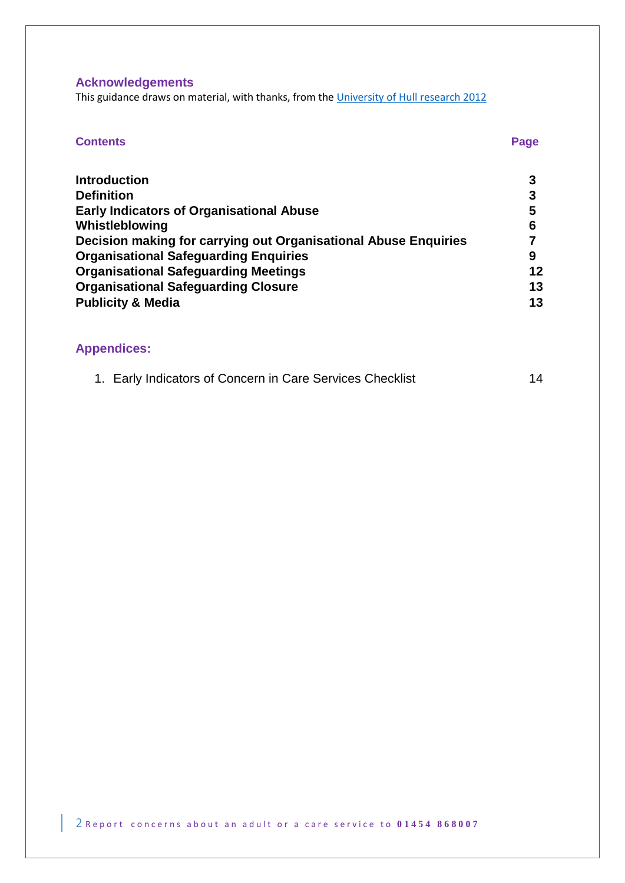## **Acknowledgements**

This guidance draws on material, with thanks, from th[e University of Hull](http://www.bsab.org/media/Hull_Report_2012.pdf) research 2012

| <b>Contents</b>                                                 | Page |
|-----------------------------------------------------------------|------|
| <b>Introduction</b>                                             |      |
| <b>Definition</b>                                               | 3    |
| <b>Early Indicators of Organisational Abuse</b>                 | 5    |
| Whistleblowing                                                  | 6    |
| Decision making for carrying out Organisational Abuse Enquiries |      |
| <b>Organisational Safeguarding Enquiries</b>                    | 9    |
| <b>Organisational Safeguarding Meetings</b>                     | 12   |
| <b>Organisational Safeguarding Closure</b>                      | 13   |
| <b>Publicity &amp; Media</b>                                    | 13   |

## **Appendices:**

|  | 1. Early Indicators of Concern in Care Services Checklist | 14 |
|--|-----------------------------------------------------------|----|
|--|-----------------------------------------------------------|----|

2 R e p ort concerns about an adult or a care service to  $0.1454$  868007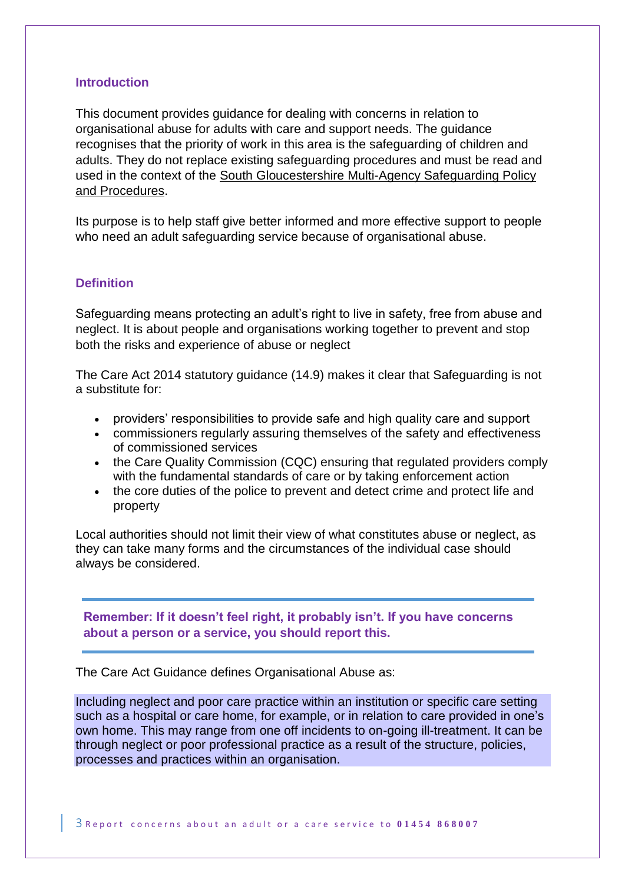### **Introduction**

This document provides guidance for dealing with concerns in relation to organisational abuse for adults with care and support needs. The guidance recognises that the priority of work in this area is the safeguarding of children and adults. They do not replace existing safeguarding procedures and must be read and used in the context of the [South Gloucestershire Multi-Agency Safeguarding Policy](http://sites.southglos.gov.uk/safeguarding/adults/i-work-with-adults/policies-and-procedures/)  [and Procedures.](http://sites.southglos.gov.uk/safeguarding/adults/i-work-with-adults/policies-and-procedures/)

Its purpose is to help staff give better informed and more effective support to people who need an adult safeguarding service because of organisational abuse.

### **Definition**

Safeguarding means protecting an adult's right to live in safety, free from abuse and neglect. It is about people and organisations working together to prevent and stop both the risks and experience of abuse or neglect

The Care Act 2014 statutory guidance (14.9) makes it clear that Safeguarding is not a substitute for:

- providers' responsibilities to provide safe and high quality care and support
- commissioners regularly assuring themselves of the safety and effectiveness of commissioned services
- the Care Quality Commission (CQC) ensuring that regulated providers comply with the fundamental standards of care or by taking enforcement action
- the core duties of the police to prevent and detect crime and protect life and property

Local authorities should not limit their view of what constitutes abuse or neglect, as they can take many forms and the circumstances of the individual case should always be considered.

**Remember: If it doesn't feel right, it probably isn't. If you have concerns about a person or a service, you should report this.**

The Care Act Guidance defines Organisational Abuse as:

Including neglect and poor care practice within an institution or specific care setting such as a hospital or care home, for example, or in relation to care provided in one's own home. This may range from one off incidents to on-going ill-treatment. It can be through neglect or poor professional practice as a result of the structure, policies, processes and practices within an organisation.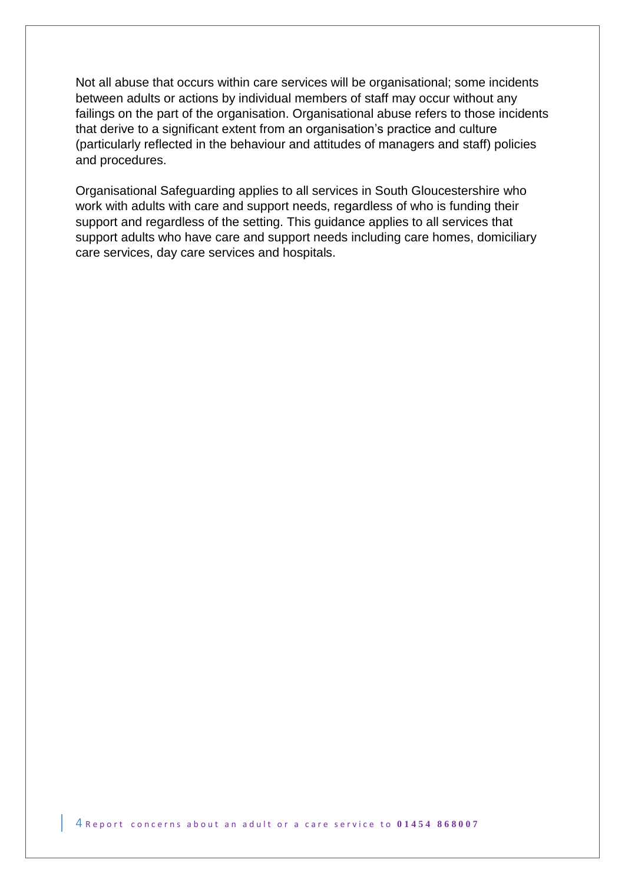Not all abuse that occurs within care services will be organisational; some incidents between adults or actions by individual members of staff may occur without any failings on the part of the organisation. Organisational abuse refers to those incidents that derive to a significant extent from an organisation's practice and culture (particularly reflected in the behaviour and attitudes of managers and staff) policies and procedures.

Organisational Safeguarding applies to all services in South Gloucestershire who work with adults with care and support needs, regardless of who is funding their support and regardless of the setting. This guidance applies to all services that support adults who have care and support needs including care homes, domiciliary care services, day care services and hospitals.

4 Report concerns about an adult or a care service to 01454 868007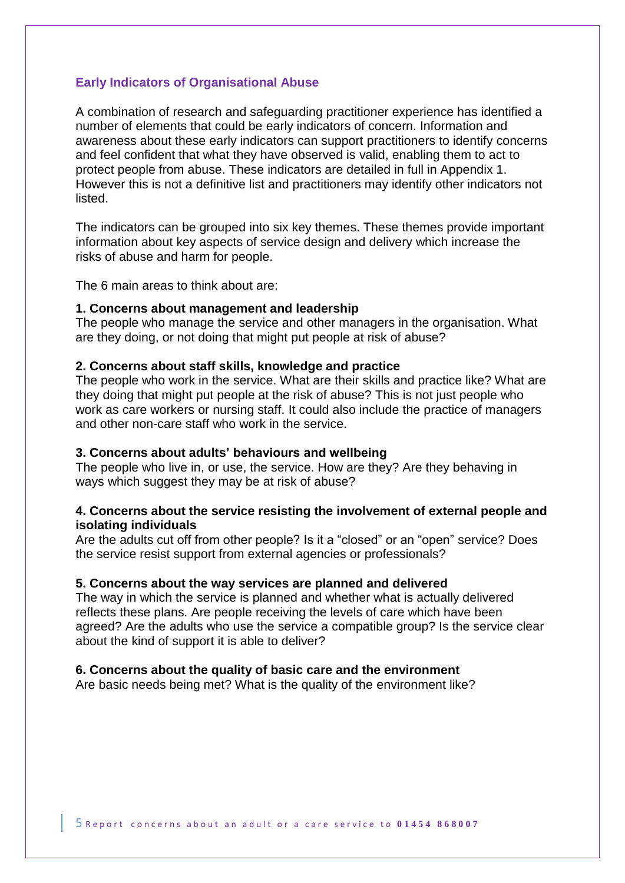### **Early Indicators of Organisational Abuse**

A combination of research and safeguarding practitioner experience has identified a number of elements that could be early indicators of concern. Information and awareness about these early indicators can support practitioners to identify concerns and feel confident that what they have observed is valid, enabling them to act to protect people from abuse. These indicators are detailed in full in Appendix 1. However this is not a definitive list and practitioners may identify other indicators not listed.

The indicators can be grouped into six key themes. These themes provide important information about key aspects of service design and delivery which increase the risks of abuse and harm for people.

The 6 main areas to think about are:

#### **1. Concerns about management and leadership**

The people who manage the service and other managers in the organisation. What are they doing, or not doing that might put people at risk of abuse?

#### **2. Concerns about staff skills, knowledge and practice**

The people who work in the service. What are their skills and practice like? What are they doing that might put people at the risk of abuse? This is not just people who work as care workers or nursing staff. It could also include the practice of managers and other non-care staff who work in the service.

### **3. Concerns about adults' behaviours and wellbeing**

The people who live in, or use, the service. How are they? Are they behaving in ways which suggest they may be at risk of abuse?

### **4. Concerns about the service resisting the involvement of external people and isolating individuals**

Are the adults cut off from other people? Is it a "closed" or an "open" service? Does the service resist support from external agencies or professionals?

### **5. Concerns about the way services are planned and delivered**

The way in which the service is planned and whether what is actually delivered reflects these plans. Are people receiving the levels of care which have been agreed? Are the adults who use the service a compatible group? Is the service clear about the kind of support it is able to deliver?

### **6. Concerns about the quality of basic care and the environment**

Are basic needs being met? What is the quality of the environment like?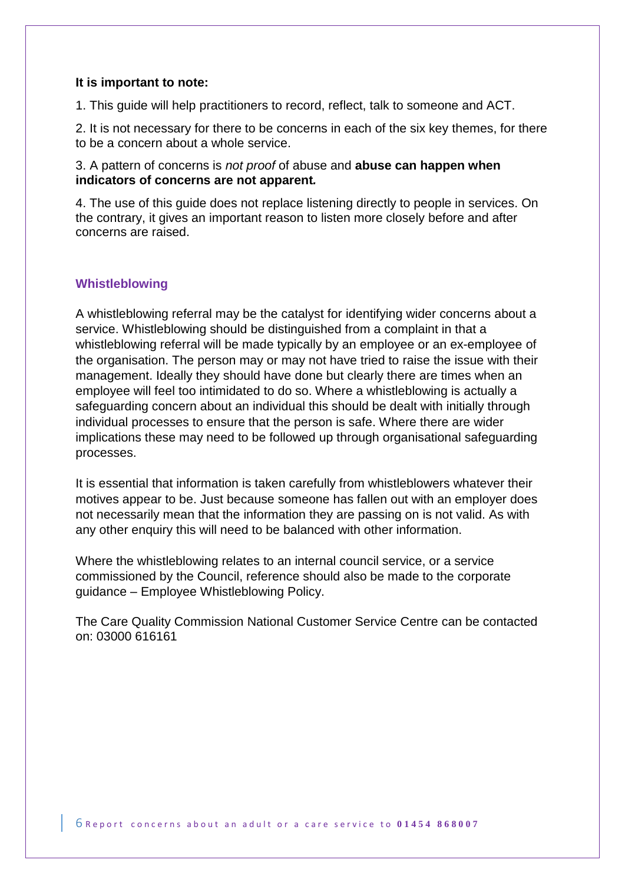### **It is important to note:**

1. This guide will help practitioners to record, reflect, talk to someone and ACT.

2. It is not necessary for there to be concerns in each of the six key themes, for there to be a concern about a whole service.

3. A pattern of concerns is *not proof* of abuse and **abuse can happen when indicators of concerns are not apparent***.*

4. The use of this guide does not replace listening directly to people in services. On the contrary, it gives an important reason to listen more closely before and after concerns are raised.

### **Whistleblowing**

A whistleblowing referral may be the catalyst for identifying wider concerns about a service. Whistleblowing should be distinguished from a complaint in that a whistleblowing referral will be made typically by an employee or an ex-employee of the organisation. The person may or may not have tried to raise the issue with their management. Ideally they should have done but clearly there are times when an employee will feel too intimidated to do so. Where a whistleblowing is actually a safeguarding concern about an individual this should be dealt with initially through individual processes to ensure that the person is safe. Where there are wider implications these may need to be followed up through organisational safeguarding processes.

It is essential that information is taken carefully from whistleblowers whatever their motives appear to be. Just because someone has fallen out with an employer does not necessarily mean that the information they are passing on is not valid. As with any other enquiry this will need to be balanced with other information.

Where the whistleblowing relates to an internal council service, or a service commissioned by the Council, reference should also be made to the corporate guidance – Employee Whistleblowing Policy.

The Care Quality Commission National Customer Service Centre can be contacted on: 03000 616161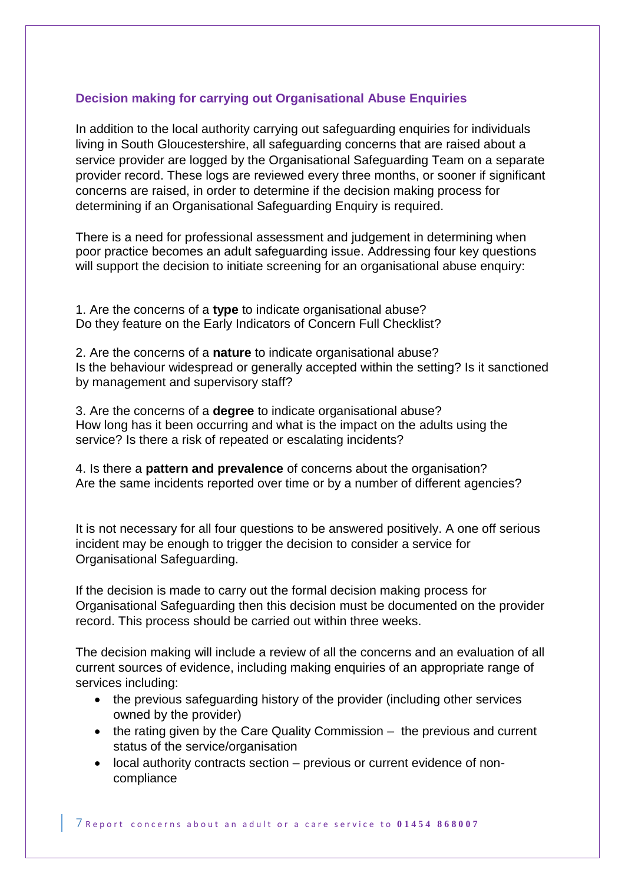## **Decision making for carrying out Organisational Abuse Enquiries**

In addition to the local authority carrying out safeguarding enquiries for individuals living in South Gloucestershire, all safeguarding concerns that are raised about a service provider are logged by the Organisational Safeguarding Team on a separate provider record. These logs are reviewed every three months, or sooner if significant concerns are raised, in order to determine if the decision making process for determining if an Organisational Safeguarding Enquiry is required.

There is a need for professional assessment and judgement in determining when poor practice becomes an adult safeguarding issue. Addressing four key questions will support the decision to initiate screening for an organisational abuse enquiry:

1. Are the concerns of a **type** to indicate organisational abuse? Do they feature on the Early Indicators of Concern Full Checklist?

2. Are the concerns of a **nature** to indicate organisational abuse? Is the behaviour widespread or generally accepted within the setting? Is it sanctioned by management and supervisory staff?

3. Are the concerns of a **degree** to indicate organisational abuse? How long has it been occurring and what is the impact on the adults using the service? Is there a risk of repeated or escalating incidents?

4. Is there a **pattern and prevalence** of concerns about the organisation? Are the same incidents reported over time or by a number of different agencies?

It is not necessary for all four questions to be answered positively. A one off serious incident may be enough to trigger the decision to consider a service for Organisational Safeguarding.

If the decision is made to carry out the formal decision making process for Organisational Safeguarding then this decision must be documented on the provider record. This process should be carried out within three weeks.

The decision making will include a review of all the concerns and an evaluation of all current sources of evidence, including making enquiries of an appropriate range of services including:

- the previous safeguarding history of the provider (including other services owned by the provider)
- the rating given by the Care Quality Commission the previous and current status of the service/organisation
- local authority contracts section previous or current evidence of noncompliance

 $\overline{7}$  Report concerns about an adult or a care service to 01454 868007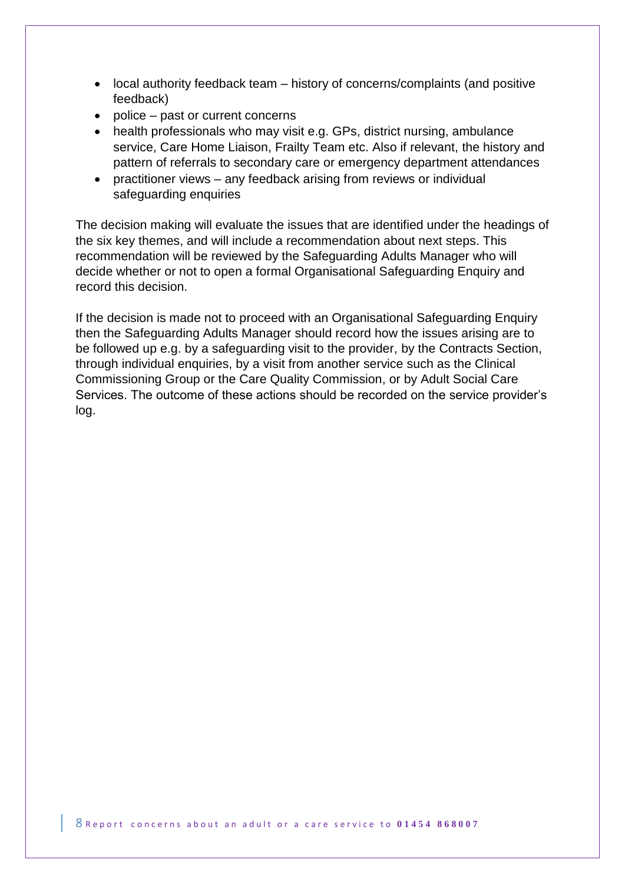- local authority feedback team history of concerns/complaints (and positive feedback)
- police past or current concerns
- health professionals who may visit e.g. GPs, district nursing, ambulance service, Care Home Liaison, Frailty Team etc. Also if relevant, the history and pattern of referrals to secondary care or emergency department attendances
- practitioner views any feedback arising from reviews or individual safeguarding enquiries

The decision making will evaluate the issues that are identified under the headings of the six key themes, and will include a recommendation about next steps. This recommendation will be reviewed by the Safeguarding Adults Manager who will decide whether or not to open a formal Organisational Safeguarding Enquiry and record this decision.

If the decision is made not to proceed with an Organisational Safeguarding Enquiry then the Safeguarding Adults Manager should record how the issues arising are to be followed up e.g. by a safeguarding visit to the provider, by the Contracts Section, through individual enquiries, by a visit from another service such as the Clinical Commissioning Group or the Care Quality Commission, or by Adult Social Care Services. The outcome of these actions should be recorded on the service provider's log.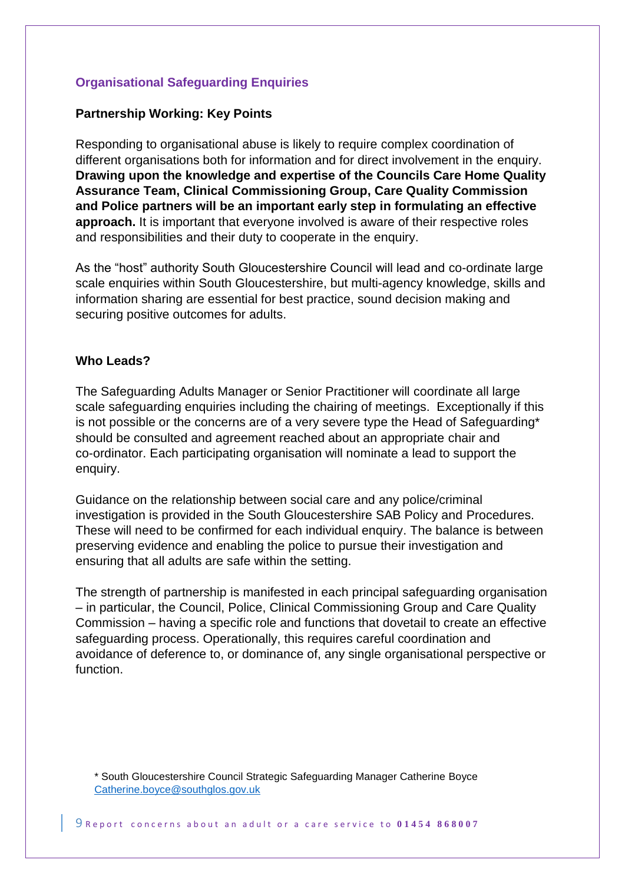### **Organisational Safeguarding Enquiries**

### **Partnership Working: Key Points**

Responding to organisational abuse is likely to require complex coordination of different organisations both for information and for direct involvement in the enquiry. **Drawing upon the knowledge and expertise of the Councils Care Home Quality Assurance Team, Clinical Commissioning Group, Care Quality Commission and Police partners will be an important early step in formulating an effective approach.** It is important that everyone involved is aware of their respective roles and responsibilities and their duty to cooperate in the enquiry.

As the "host" authority South Gloucestershire Council will lead and co-ordinate large scale enquiries within South Gloucestershire, but multi-agency knowledge, skills and information sharing are essential for best practice, sound decision making and securing positive outcomes for adults.

### **Who Leads?**

The Safeguarding Adults Manager or Senior Practitioner will coordinate all large scale safeguarding enquiries including the chairing of meetings. Exceptionally if this is not possible or the concerns are of a very severe type the Head of Safeguarding\* should be consulted and agreement reached about an appropriate chair and co-ordinator. Each participating organisation will nominate a lead to support the enquiry.

Guidance on the relationship between social care and any police/criminal investigation is provided in the South Gloucestershire SAB Policy and Procedures. These will need to be confirmed for each individual enquiry. The balance is between preserving evidence and enabling the police to pursue their investigation and ensuring that all adults are safe within the setting.

The strength of partnership is manifested in each principal safeguarding organisation – in particular, the Council, Police, Clinical Commissioning Group and Care Quality Commission – having a specific role and functions that dovetail to create an effective safeguarding process. Operationally, this requires careful coordination and avoidance of deference to, or dominance of, any single organisational perspective or function.

\* South Gloucestershire Council Strategic Safeguarding Manager Catherine Boyce [Catherine.boyce@southglos.gov.uk](Catherine.boyce@southglos.gov.uk%20)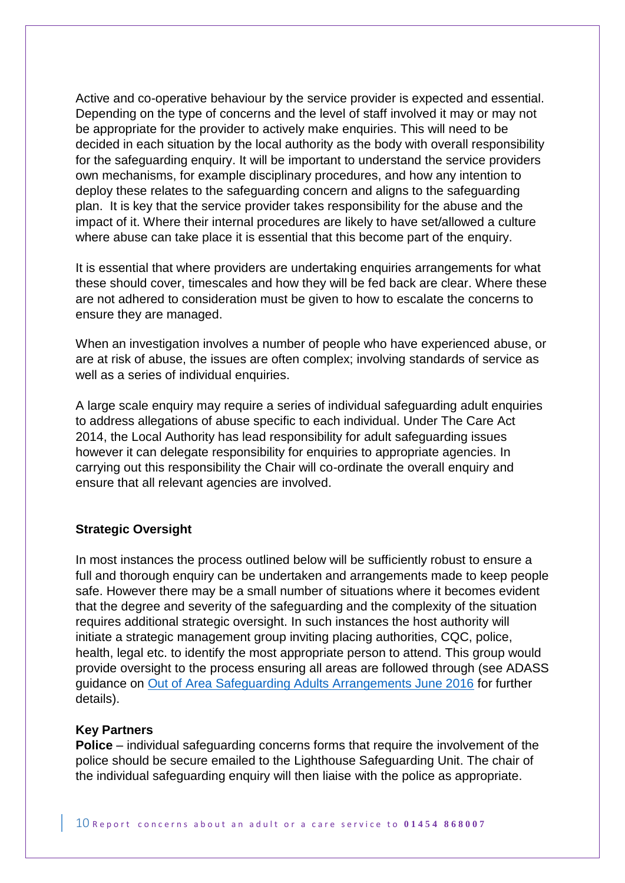Active and co-operative behaviour by the service provider is expected and essential. Depending on the type of concerns and the level of staff involved it may or may not be appropriate for the provider to actively make enquiries. This will need to be decided in each situation by the local authority as the body with overall responsibility for the safeguarding enquiry. It will be important to understand the service providers own mechanisms, for example disciplinary procedures, and how any intention to deploy these relates to the safeguarding concern and aligns to the safeguarding plan. It is key that the service provider takes responsibility for the abuse and the impact of it. Where their internal procedures are likely to have set/allowed a culture where abuse can take place it is essential that this become part of the enquiry.

It is essential that where providers are undertaking enquiries arrangements for what these should cover, timescales and how they will be fed back are clear. Where these are not adhered to consideration must be given to how to escalate the concerns to ensure they are managed.

When an investigation involves a number of people who have experienced abuse, or are at risk of abuse, the issues are often complex; involving standards of service as well as a series of individual enquiries.

A large scale enquiry may require a series of individual safeguarding adult enquiries to address allegations of abuse specific to each individual. Under The Care Act 2014, the Local Authority has lead responsibility for adult safeguarding issues however it can delegate responsibility for enquiries to appropriate agencies. In carrying out this responsibility the Chair will co-ordinate the overall enquiry and ensure that all relevant agencies are involved.

### **Strategic Oversight**

In most instances the process outlined below will be sufficiently robust to ensure a full and thorough enquiry can be undertaken and arrangements made to keep people safe. However there may be a small number of situations where it becomes evident that the degree and severity of the safeguarding and the complexity of the situation requires additional strategic oversight. In such instances the host authority will initiate a strategic management group inviting placing authorities, CQC, police, health, legal etc. to identify the most appropriate person to attend. This group would provide oversight to the process ensuring all areas are followed through (see ADASS guidance on [Out of Area Safeguarding Adults Arrangements June 2016](https://www.adass.org.uk/media/5414/adass-guidance-inter-authority-safeguarding-arrangements-june-2016.pdf) for further details).

### **Key Partners**

**Police** – individual safeguarding concerns forms that require the involvement of the police should be secure emailed to the Lighthouse Safeguarding Unit. The chair of the individual safeguarding enquiry will then liaise with the police as appropriate.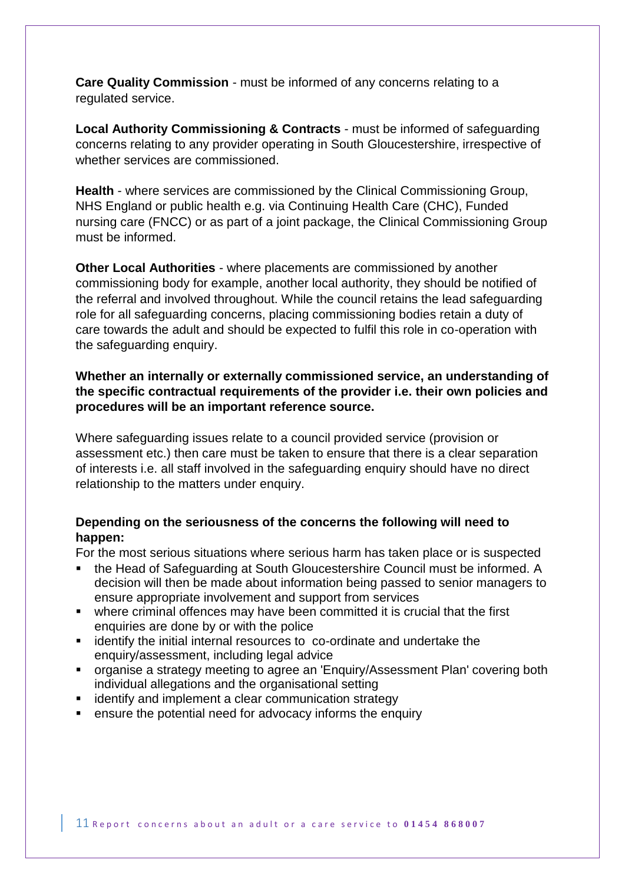**Care Quality Commission** - must be informed of any concerns relating to a regulated service.

**Local Authority Commissioning & Contracts** - must be informed of safeguarding concerns relating to any provider operating in South Gloucestershire, irrespective of whether services are commissioned.

**Health** - where services are commissioned by the Clinical Commissioning Group, NHS England or public health e.g. via Continuing Health Care (CHC), Funded nursing care (FNCC) or as part of a joint package, the Clinical Commissioning Group must be informed.

**Other Local Authorities** - where placements are commissioned by another commissioning body for example, another local authority, they should be notified of the referral and involved throughout. While the council retains the lead safeguarding role for all safeguarding concerns, placing commissioning bodies retain a duty of care towards the adult and should be expected to fulfil this role in co-operation with the safeguarding enquiry.

### **Whether an internally or externally commissioned service, an understanding of the specific contractual requirements of the provider i.e. their own policies and procedures will be an important reference source.**

Where safeguarding issues relate to a council provided service (provision or assessment etc.) then care must be taken to ensure that there is a clear separation of interests i.e. all staff involved in the safeguarding enquiry should have no direct relationship to the matters under enquiry.

## **Depending on the seriousness of the concerns the following will need to happen:**

For the most serious situations where serious harm has taken place or is suspected

- the Head of Safeguarding at South Gloucestershire Council must be informed. A decision will then be made about information being passed to senior managers to ensure appropriate involvement and support from services
- where criminal offences may have been committed it is crucial that the first enquiries are done by or with the police
- **EXEDENT** identify the initial internal resources to co-ordinate and undertake the enquiry/assessment, including legal advice
- organise a strategy meeting to agree an 'Enquiry/Assessment Plan' covering both individual allegations and the organisational setting
- **EXEDENTIFY** and implement a clear communication strategy
- ensure the potential need for advocacy informs the enquiry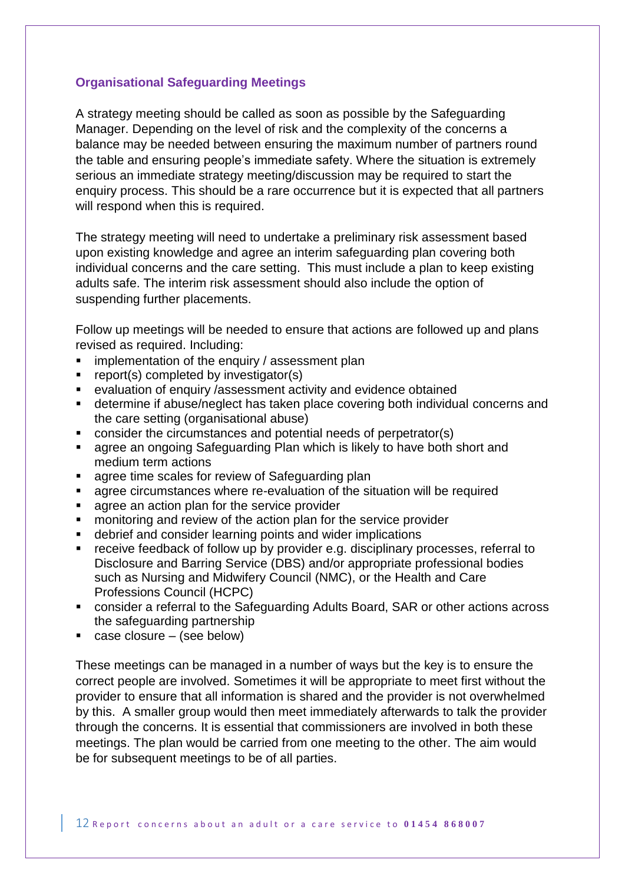## **Organisational Safeguarding Meetings**

A strategy meeting should be called as soon as possible by the Safeguarding Manager. Depending on the level of risk and the complexity of the concerns a balance may be needed between ensuring the maximum number of partners round the table and ensuring people's immediate safety. Where the situation is extremely serious an immediate strategy meeting/discussion may be required to start the enquiry process. This should be a rare occurrence but it is expected that all partners will respond when this is required.

The strategy meeting will need to undertake a preliminary risk assessment based upon existing knowledge and agree an interim safeguarding plan covering both individual concerns and the care setting. This must include a plan to keep existing adults safe. The interim risk assessment should also include the option of suspending further placements.

Follow up meetings will be needed to ensure that actions are followed up and plans revised as required. Including:

- **EXECT** implementation of the enquiry / assessment plan
- **F** report(s) completed by investigator(s)
- evaluation of enquiry /assessment activity and evidence obtained
- determine if abuse/neglect has taken place covering both individual concerns and the care setting (organisational abuse)
- consider the circumstances and potential needs of perpetrator(s)
- **Example 2** agree an ongoing Safeguarding Plan which is likely to have both short and medium term actions
- **agree time scales for review of Safeguarding plan**
- agree circumstances where re-evaluation of the situation will be required
- **agree an action plan for the service provider**
- **number 1** monitoring and review of the action plan for the service provider
- debrief and consider learning points and wider implications
- receive feedback of follow up by provider e.g. disciplinary processes, referral to Disclosure and Barring Service (DBS) and/or appropriate professional bodies such as Nursing and Midwifery Council (NMC), or the Health and Care Professions Council (HCPC)
- consider a referral to the Safeguarding Adults Board, SAR or other actions across the safeguarding partnership
- $\blacksquare$  case closure (see below)

These meetings can be managed in a number of ways but the key is to ensure the correct people are involved. Sometimes it will be appropriate to meet first without the provider to ensure that all information is shared and the provider is not overwhelmed by this. A smaller group would then meet immediately afterwards to talk the provider through the concerns. It is essential that commissioners are involved in both these meetings. The plan would be carried from one meeting to the other. The aim would be for subsequent meetings to be of all parties.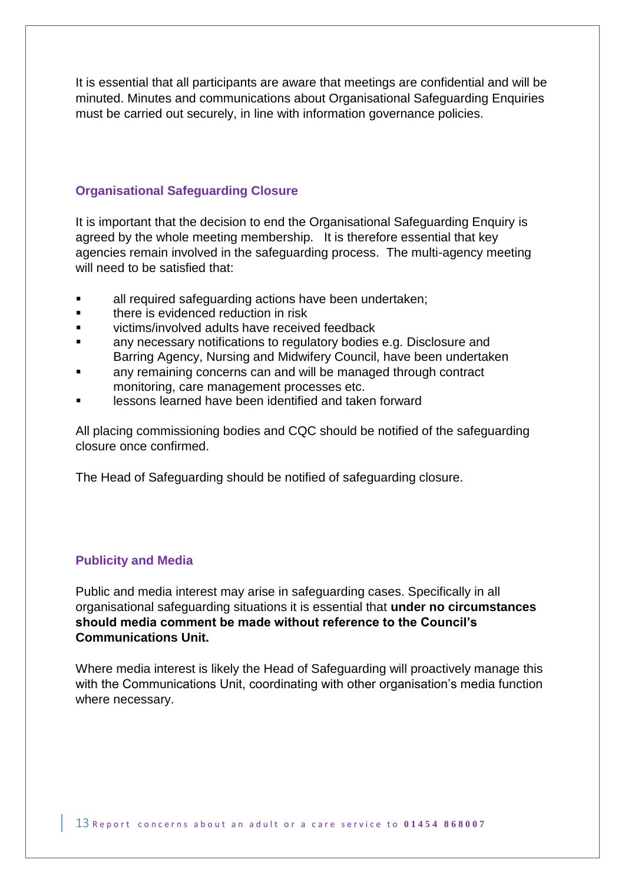It is essential that all participants are aware that meetings are confidential and will be minuted. Minutes and communications about Organisational Safeguarding Enquiries must be carried out securely, in line with information governance policies.

### **Organisational Safeguarding Closure**

It is important that the decision to end the Organisational Safeguarding Enquiry is agreed by the whole meeting membership. It is therefore essential that key agencies remain involved in the safeguarding process. The multi-agency meeting will need to be satisfied that:

- all required safeguarding actions have been undertaken;
- there is evidenced reduction in risk
- victims/involved adults have received feedback
- any necessary notifications to regulatory bodies e.g. Disclosure and Barring Agency, Nursing and Midwifery Council, have been undertaken
- any remaining concerns can and will be managed through contract monitoring, care management processes etc.
- lessons learned have been identified and taken forward

All placing commissioning bodies and CQC should be notified of the safeguarding closure once confirmed.

The Head of Safeguarding should be notified of safeguarding closure.

### **Publicity and Media**

Public and media interest may arise in safeguarding cases. Specifically in all organisational safeguarding situations it is essential that **under no circumstances should media comment be made without reference to the Council's Communications Unit.**

Where media interest is likely the Head of Safeguarding will proactively manage this with the Communications Unit, coordinating with other organisation's media function where necessary.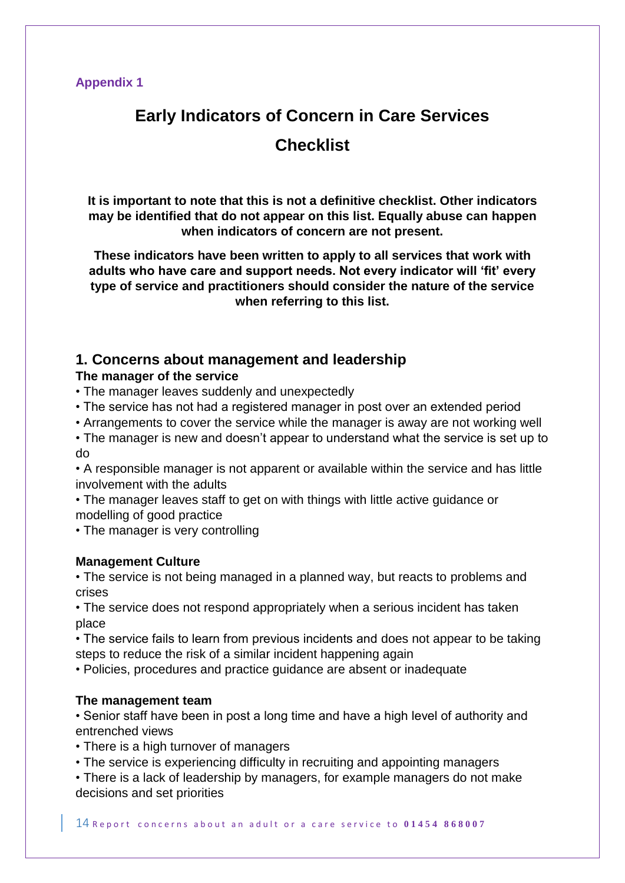## **Appendix 1**

## **Early Indicators of Concern in Care Services Checklist**

**It is important to note that this is not a definitive checklist. Other indicators may be identified that do not appear on this list. Equally abuse can happen when indicators of concern are not present.**

**These indicators have been written to apply to all services that work with adults who have care and support needs. Not every indicator will 'fit' every type of service and practitioners should consider the nature of the service when referring to this list.**

## **1. Concerns about management and leadership**

## **The manager of the service**

- The manager leaves suddenly and unexpectedly
- The service has not had a registered manager in post over an extended period
- Arrangements to cover the service while the manager is away are not working well

• The manager is new and doesn't appear to understand what the service is set up to do

• A responsible manager is not apparent or available within the service and has little involvement with the adults

- The manager leaves staff to get on with things with little active guidance or modelling of good practice
- The manager is very controlling

### **Management Culture**

• The service is not being managed in a planned way, but reacts to problems and crises

• The service does not respond appropriately when a serious incident has taken place

• The service fails to learn from previous incidents and does not appear to be taking steps to reduce the risk of a similar incident happening again

• Policies, procedures and practice guidance are absent or inadequate

### **The management team**

• Senior staff have been in post a long time and have a high level of authority and entrenched views

• There is a high turnover of managers

• The service is experiencing difficulty in recruiting and appointing managers

• There is a lack of leadership by managers, for example managers do not make decisions and set priorities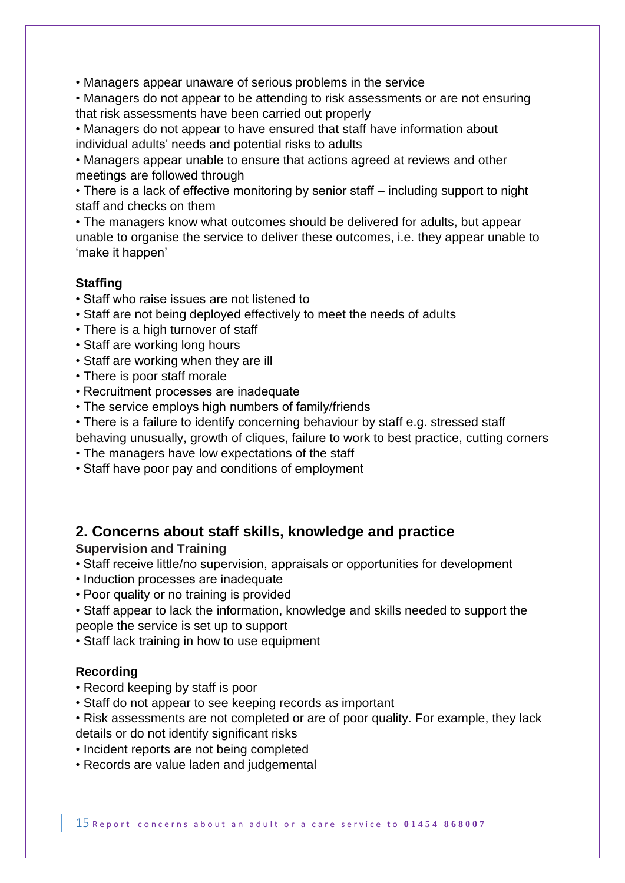• Managers appear unaware of serious problems in the service

• Managers do not appear to be attending to risk assessments or are not ensuring that risk assessments have been carried out properly

• Managers do not appear to have ensured that staff have information about individual adults' needs and potential risks to adults

• Managers appear unable to ensure that actions agreed at reviews and other meetings are followed through

• There is a lack of effective monitoring by senior staff – including support to night staff and checks on them

• The managers know what outcomes should be delivered for adults, but appear unable to organise the service to deliver these outcomes, i.e. they appear unable to 'make it happen'

## **Staffing**

- Staff who raise issues are not listened to
- Staff are not being deployed effectively to meet the needs of adults
- There is a high turnover of staff
- Staff are working long hours
- Staff are working when they are ill
- There is poor staff morale
- Recruitment processes are inadequate
- The service employs high numbers of family/friends
- There is a failure to identify concerning behaviour by staff e.g. stressed staff behaving unusually, growth of cliques, failure to work to best practice, cutting corners
- The managers have low expectations of the staff
- Staff have poor pay and conditions of employment

## **2. Concerns about staff skills, knowledge and practice**

## **Supervision and Training**

- Staff receive little/no supervision, appraisals or opportunities for development
- Induction processes are inadequate
- Poor quality or no training is provided
- Staff appear to lack the information, knowledge and skills needed to support the people the service is set up to support
- Staff lack training in how to use equipment

## **Recording**

- Record keeping by staff is poor
- Staff do not appear to see keeping records as important
- Risk assessments are not completed or are of poor quality. For example, they lack details or do not identify significant risks
- Incident reports are not being completed
- Records are value laden and judgemental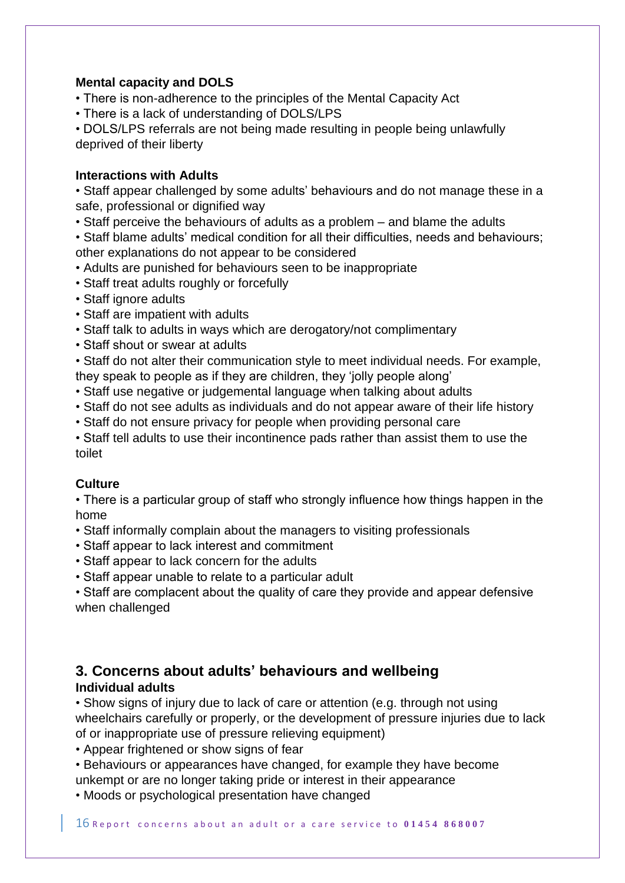## **Mental capacity and DOLS**

- There is non-adherence to the principles of the Mental Capacity Act
- There is a lack of understanding of DOLS/LPS

• DOLS/LPS referrals are not being made resulting in people being unlawfully deprived of their liberty

## **Interactions with Adults**

• Staff appear challenged by some adults' behaviours and do not manage these in a safe, professional or dignified way

• Staff perceive the behaviours of adults as a problem – and blame the adults

• Staff blame adults' medical condition for all their difficulties, needs and behaviours; other explanations do not appear to be considered

- Adults are punished for behaviours seen to be inappropriate
- Staff treat adults roughly or forcefully
- Staff ignore adults
- Staff are impatient with adults
- Staff talk to adults in ways which are derogatory/not complimentary
- Staff shout or swear at adults

• Staff do not alter their communication style to meet individual needs. For example, they speak to people as if they are children, they 'jolly people along'

- Staff use negative or judgemental language when talking about adults
- Staff do not see adults as individuals and do not appear aware of their life history
- Staff do not ensure privacy for people when providing personal care

• Staff tell adults to use their incontinence pads rather than assist them to use the toilet

## **Culture**

• There is a particular group of staff who strongly influence how things happen in the home

- Staff informally complain about the managers to visiting professionals
- Staff appear to lack interest and commitment
- Staff appear to lack concern for the adults
- Staff appear unable to relate to a particular adult

• Staff are complacent about the quality of care they provide and appear defensive when challenged

## **3. Concerns about adults' behaviours and wellbeing Individual adults**

• Show signs of injury due to lack of care or attention (e.g. through not using wheelchairs carefully or properly, or the development of pressure injuries due to lack of or inappropriate use of pressure relieving equipment)

• Appear frightened or show signs of fear

• Behaviours or appearances have changed, for example they have become unkempt or are no longer taking pride or interest in their appearance

• Moods or psychological presentation have changed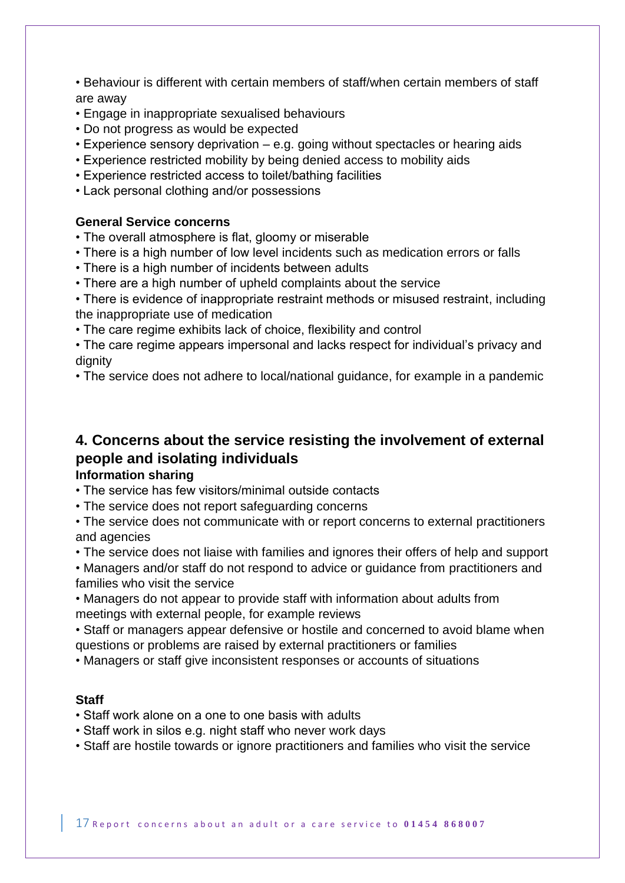• Behaviour is different with certain members of staff/when certain members of staff are away

- Engage in inappropriate sexualised behaviours
- Do not progress as would be expected
- Experience sensory deprivation e.g. going without spectacles or hearing aids
- Experience restricted mobility by being denied access to mobility aids
- Experience restricted access to toilet/bathing facilities
- Lack personal clothing and/or possessions

### **General Service concerns**

- The overall atmosphere is flat, gloomy or miserable
- There is a high number of low level incidents such as medication errors or falls
- There is a high number of incidents between adults
- There are a high number of upheld complaints about the service
- There is evidence of inappropriate restraint methods or misused restraint, including the inappropriate use of medication
- The care regime exhibits lack of choice, flexibility and control
- The care regime appears impersonal and lacks respect for individual's privacy and dignity
- The service does not adhere to local/national guidance, for example in a pandemic

## **4. Concerns about the service resisting the involvement of external people and isolating individuals**

## **Information sharing**

- The service has few visitors/minimal outside contacts
- The service does not report safeguarding concerns
- The service does not communicate with or report concerns to external practitioners and agencies
- The service does not liaise with families and ignores their offers of help and support
- Managers and/or staff do not respond to advice or guidance from practitioners and families who visit the service
- Managers do not appear to provide staff with information about adults from meetings with external people, for example reviews
- Staff or managers appear defensive or hostile and concerned to avoid blame when questions or problems are raised by external practitioners or families
- Managers or staff give inconsistent responses or accounts of situations

### **Staff**

- Staff work alone on a one to one basis with adults
- Staff work in silos e.g. night staff who never work days
- Staff are hostile towards or ignore practitioners and families who visit the service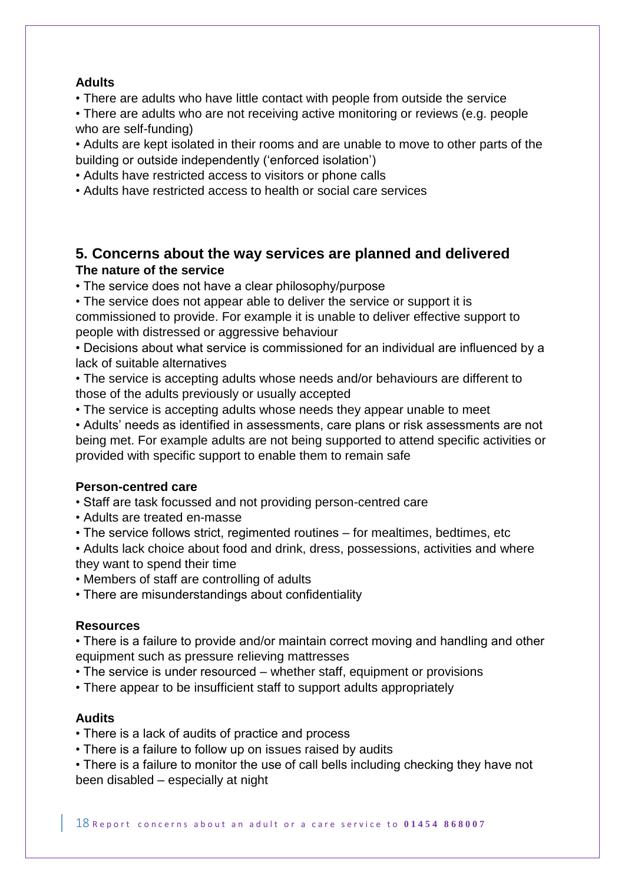## **Adults**

• There are adults who have little contact with people from outside the service

• There are adults who are not receiving active monitoring or reviews (e.g. people who are self-funding)

• Adults are kept isolated in their rooms and are unable to move to other parts of the building or outside independently ('enforced isolation')

• Adults have restricted access to visitors or phone calls

• Adults have restricted access to health or social care services

## **5. Concerns about the way services are planned and delivered The nature of the service**

• The service does not have a clear philosophy/purpose

• The service does not appear able to deliver the service or support it is commissioned to provide. For example it is unable to deliver effective support to people with distressed or aggressive behaviour

• Decisions about what service is commissioned for an individual are influenced by a lack of suitable alternatives

• The service is accepting adults whose needs and/or behaviours are different to those of the adults previously or usually accepted

• The service is accepting adults whose needs they appear unable to meet

• Adults' needs as identified in assessments, care plans or risk assessments are not being met. For example adults are not being supported to attend specific activities or provided with specific support to enable them to remain safe

### **Person-centred care**

• Staff are task focussed and not providing person-centred care

- Adults are treated en-masse
- The service follows strict, regimented routines for mealtimes, bedtimes, etc

• Adults lack choice about food and drink, dress, possessions, activities and where they want to spend their time

• Members of staff are controlling of adults

• There are misunderstandings about confidentiality

## **Resources**

• There is a failure to provide and/or maintain correct moving and handling and other equipment such as pressure relieving mattresses

• The service is under resourced – whether staff, equipment or provisions

• There appear to be insufficient staff to support adults appropriately

## **Audits**

- There is a lack of audits of practice and process
- There is a failure to follow up on issues raised by audits

• There is a failure to monitor the use of call bells including checking they have not been disabled – especially at night